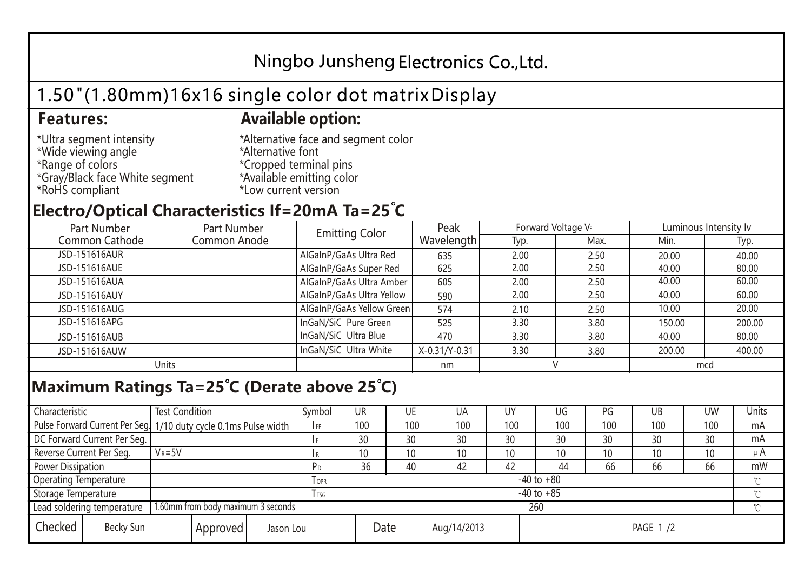# Ningbo Junsheng Electronics Co.,Ltd.

# 1.50"(1.80mm)16x16 single color dot matrix Display

### **Features: Available option:**

- \*Ultra segment intensity \*Wide viewing angle \*Range of colors \*Gray/Black face White segment \*RoHS compliant
- \*Alternative face and segment color \*Alternative font \*Cropped terminal pins \*Available emitting color \*Low current version

### **Electro/Optical Characteristics If=20mA Ta=25 C**

| Part Number<br>Part Number |              | <b>Emitting Color</b>     | Peak          | Forward Voltage VF |      | Luminous Intensity Iv |        |  |
|----------------------------|--------------|---------------------------|---------------|--------------------|------|-----------------------|--------|--|
| Common Cathode             | Common Anode |                           | Wavelength    | Typ.               | Max. | Min.                  | Typ.   |  |
| JSD-151616AUR              |              | AlGaInP/GaAs Ultra Red    | 635           | 2.00               | 2.50 | 20.00                 | 40.00  |  |
| JSD-151616AUE              |              | AlGaInP/GaAs Super Red    | 625           | 2.00               | 2.50 | 40.00                 | 80.00  |  |
| JSD-151616AUA              |              | AlGaInP/GaAs Ultra Amber  | 605           | 2.00               | 2.50 | 40.00                 | 60.00  |  |
| JSD-151616AUY              |              | AlGaInP/GaAs Ultra Yellow | 590           | 2.00               | 2.50 | 40.00                 | 60.00  |  |
| JSD-151616AUG              |              | AlGaInP/GaAs Yellow Green | 574           | 2.10               | 2.50 | 10.00                 | 20.00  |  |
| JSD-151616APG              |              | InGaN/SiC Pure Green      | 525           | 3.30               | 3.80 | 150.00                | 200.00 |  |
| JSD-151616AUB              |              | InGaN/SiC Ultra Blue      | 470           | 3.30               | 3.80 | 40.00                 | 80.00  |  |
| JSD-151616AUW              |              | InGaN/SiC Ultra White     | X-0.31/Y-0.31 | 3.30               | 3.80 | 200.00                | 400.00 |  |
| Units                      |              |                           | nm            |                    |      | mcd                   |        |  |

# **Maximum Ratings Ta=25°C (Derate above 25°C)**

| Characteristic                                |  | <b>Test Condition</b>                                            |                         |                     | Symbol | <b>UR</b> |  | UE       | UA              | UY  | UG  | PG  | UB       | <b>UW</b> | <b>Units</b> |
|-----------------------------------------------|--|------------------------------------------------------------------|-------------------------|---------------------|--------|-----------|--|----------|-----------------|-----|-----|-----|----------|-----------|--------------|
|                                               |  | Pulse Forward Current Per Seg. 1/10 duty cycle 0.1ms Pulse width |                         |                     | I FP   | 100       |  | 100      | 100             | 100 | 100 | 100 | 100      | 100       | mA           |
| DC Forward Current Per Seg.                   |  |                                                                  |                         |                     |        | 30        |  | 30       | 30              | 30  | 30  | 30  | 30       | 30        | mA           |
| Reverse Current Per Seg.                      |  | $V_R = 5V$                                                       |                         |                     | l R    | 10        |  | 10       | 10 <sup>°</sup> | 10  | 10  | 10  | 10       | 10        | $\mu$ A      |
| <b>Power Dissipation</b>                      |  |                                                                  |                         |                     | РD     | 36        |  | 40       | 42              | 42  | 44  | 66  | 66       | 66        | mW           |
| <b>Operating Temperature</b>                  |  |                                                                  | <b>TOPR</b>             | $-40$ to $+80$      |        |           |  |          |                 |     |     |     | $\gamma$ |           |              |
| Storage Temperature                           |  |                                                                  | <b>T</b> <sub>rsg</sub> | $-40$ to $+85$      |        |           |  |          |                 |     |     |     | °C       |           |              |
| Lead soldering temperature                    |  | 1.60mm from body maximum 3 seconds                               |                         |                     |        | 260<br>≧  |  |          |                 |     |     |     |          |           |              |
| Checked<br>Becky Sun<br>Approved<br>Jason Lou |  |                                                                  |                         | Date<br>Aug/14/2013 |        |           |  | PAGE 1/2 |                 |     |     |     |          |           |              |